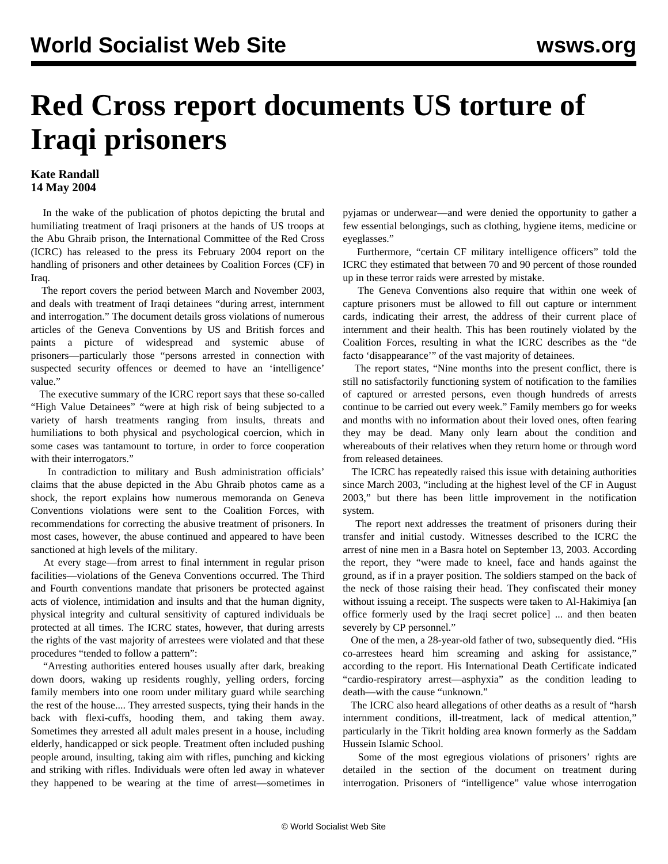## **Red Cross report documents US torture of Iraqi prisoners**

## **Kate Randall 14 May 2004**

 In the wake of the publication of photos depicting the brutal and humiliating treatment of Iraqi prisoners at the hands of US troops at the Abu Ghraib prison, the International Committee of the Red Cross (ICRC) has released to the press its February 2004 report on the handling of prisoners and other detainees by Coalition Forces (CF) in Iraq.

 The report covers the period between March and November 2003, and deals with treatment of Iraqi detainees "during arrest, internment and interrogation." The document details gross violations of numerous articles of the Geneva Conventions by US and British forces and paints a picture of widespread and systemic abuse of prisoners—particularly those "persons arrested in connection with suspected security offences or deemed to have an 'intelligence' value."

 The executive summary of the ICRC report says that these so-called "High Value Detainees" "were at high risk of being subjected to a variety of harsh treatments ranging from insults, threats and humiliations to both physical and psychological coercion, which in some cases was tantamount to torture, in order to force cooperation with their interrogators."

 In contradiction to military and Bush administration officials' claims that the abuse depicted in the Abu Ghraib photos came as a shock, the report explains how numerous memoranda on Geneva Conventions violations were sent to the Coalition Forces, with recommendations for correcting the abusive treatment of prisoners. In most cases, however, the abuse continued and appeared to have been sanctioned at high levels of the military.

 At every stage—from arrest to final internment in regular prison facilities—violations of the Geneva Conventions occurred. The Third and Fourth conventions mandate that prisoners be protected against acts of violence, intimidation and insults and that the human dignity, physical integrity and cultural sensitivity of captured individuals be protected at all times. The ICRC states, however, that during arrests the rights of the vast majority of arrestees were violated and that these procedures "tended to follow a pattern":

 "Arresting authorities entered houses usually after dark, breaking down doors, waking up residents roughly, yelling orders, forcing family members into one room under military guard while searching the rest of the house.... They arrested suspects, tying their hands in the back with flexi-cuffs, hooding them, and taking them away. Sometimes they arrested all adult males present in a house, including elderly, handicapped or sick people. Treatment often included pushing people around, insulting, taking aim with rifles, punching and kicking and striking with rifles. Individuals were often led away in whatever they happened to be wearing at the time of arrest—sometimes in

pyjamas or underwear—and were denied the opportunity to gather a few essential belongings, such as clothing, hygiene items, medicine or eyeglasses."

 Furthermore, "certain CF military intelligence officers" told the ICRC they estimated that between 70 and 90 percent of those rounded up in these terror raids were arrested by mistake.

 The Geneva Conventions also require that within one week of capture prisoners must be allowed to fill out capture or internment cards, indicating their arrest, the address of their current place of internment and their health. This has been routinely violated by the Coalition Forces, resulting in what the ICRC describes as the "de facto 'disappearance'" of the vast majority of detainees.

 The report states, "Nine months into the present conflict, there is still no satisfactorily functioning system of notification to the families of captured or arrested persons, even though hundreds of arrests continue to be carried out every week." Family members go for weeks and months with no information about their loved ones, often fearing they may be dead. Many only learn about the condition and whereabouts of their relatives when they return home or through word from released detainees.

 The ICRC has repeatedly raised this issue with detaining authorities since March 2003, "including at the highest level of the CF in August 2003," but there has been little improvement in the notification system.

 The report next addresses the treatment of prisoners during their transfer and initial custody. Witnesses described to the ICRC the arrest of nine men in a Basra hotel on September 13, 2003. According the report, they "were made to kneel, face and hands against the ground, as if in a prayer position. The soldiers stamped on the back of the neck of those raising their head. They confiscated their money without issuing a receipt. The suspects were taken to Al-Hakimiya [an office formerly used by the Iraqi secret police] ... and then beaten severely by CP personnel."

 One of the men, a 28-year-old father of two, subsequently died. "His co-arrestees heard him screaming and asking for assistance," according to the report. His International Death Certificate indicated "cardio-respiratory arrest—asphyxia" as the condition leading to death—with the cause "unknown."

 The ICRC also heard allegations of other deaths as a result of "harsh internment conditions, ill-treatment, lack of medical attention," particularly in the Tikrit holding area known formerly as the Saddam Hussein Islamic School.

 Some of the most egregious violations of prisoners' rights are detailed in the section of the document on treatment during interrogation. Prisoners of "intelligence" value whose interrogation